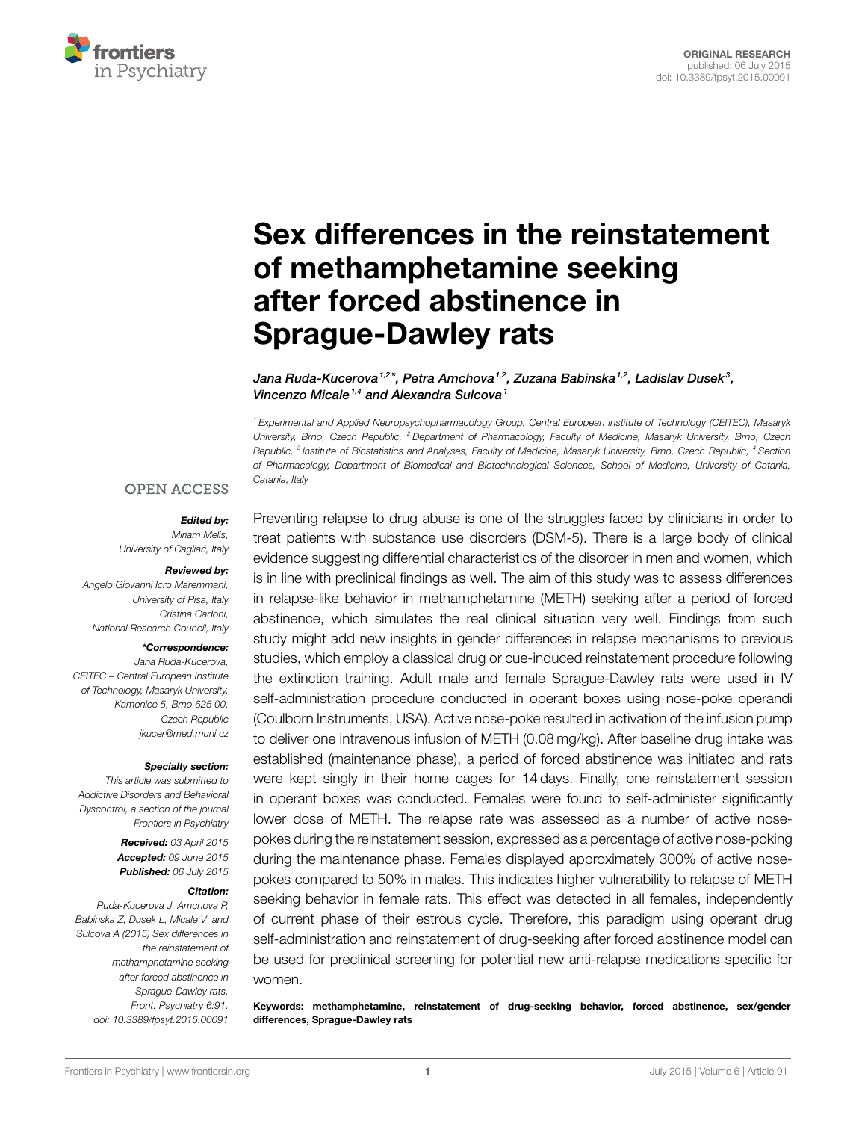

# **[Sex differences in the reinstatement](http://www.frontiersin.org/Journal/10.3389/fpsyt.2015.00091/abstract) [of methamphetamine seeking](http://www.frontiersin.org/Journal/10.3389/fpsyt.2015.00091/abstract) [after forced abstinence in](http://www.frontiersin.org/Journal/10.3389/fpsyt.2015.00091/abstract) [Sprague-Dawley rats](http://www.frontiersin.org/Journal/10.3389/fpsyt.2015.00091/abstract)**

*[Jana Ruda-Kucerova](http://loop.frontiersin.org/people/114434/overview)1,2 \*, Petra Amchova1,2, Zuzana Babinska1,2, Ladislav Dusek <sup>3</sup> , [Vincenzo Micale](http://loop.frontiersin.org/people/34018/overview)1,4 and [Alexandra Sulcova](http://loop.frontiersin.org/people/108572/overview)<sup>1</sup>*

*1 Experimental and Applied Neuropsychopharmacology Group, Central European Institute of Technology (CEITEC), Masaryk University, Brno, Czech Republic, <sup>2</sup> Department of Pharmacology, Faculty of Medicine, Masaryk University, Brno, Czech Republic, <sup>3</sup> Institute of Biostatistics and Analyses, Faculty of Medicine, Masaryk University, Brno, Czech Republic, <sup>4</sup> Section of Pharmacology, Department of Biomedical and Biotechnological Sciences, School of Medicine, University of Catania, Catania, Italy*

## **OPEN ACCESS**

## *Edited by:*

*Miriam Melis, University of Cagliari, Italy*

#### *Reviewed by:*

*Angelo Giovanni Icro Maremmani, University of Pisa, Italy Cristina Cadoni, National Research Council, Italy*

## *\*Correspondence:*

*Jana Ruda-Kucerova, CEITEC – Central European Institute of Technology, Masaryk University, Kamenice 5, Brno 625 00, Czech Republic [jkucer@med.muni.cz](mailto:jkucer@med.muni.cz)*

#### *Specialty section:*

*This article was submitted to Addictive Disorders and Behavioral Dyscontrol, a section of the journal Frontiers in Psychiatry*

> *Received: 03 April 2015 Accepted: 09 June 2015 Published: 06 July 2015*

### *Citation:*

*Ruda-Kucerova J, Amchova P, Babinska Z, Dusek L, Micale V and Sulcova A (2015) Sex differences in the reinstatement of methamphetamine seeking after forced abstinence in Sprague-Dawley rats. Front. Psychiatry 6:91. doi: [10.3389/fpsyt.2015.00091](http://dx.doi.org/10.3389/fpsyt.2015.00091)*

Preventing relapse to drug abuse is one of the struggles faced by clinicians in order to treat patients with substance use disorders (DSM-5). There is a large body of clinical evidence suggesting differential characteristics of the disorder in men and women, which is in line with preclinical findings as well. The aim of this study was to assess differences in relapse-like behavior in methamphetamine (METH) seeking after a period of forced abstinence, which simulates the real clinical situation very well. Findings from such study might add new insights in gender differences in relapse mechanisms to previous studies, which employ a classical drug or cue-induced reinstatement procedure following the extinction training. Adult male and female Sprague-Dawley rats were used in IV self-administration procedure conducted in operant boxes using nose-poke operandi (Coulborn Instruments, USA). Active nose-poke resulted in activation of the infusion pump to deliver one intravenous infusion of METH (0.08 mg/kg). After baseline drug intake was established (maintenance phase), a period of forced abstinence was initiated and rats were kept singly in their home cages for 14 days. Finally, one reinstatement session in operant boxes was conducted. Females were found to self-administer significantly lower dose of METH. The relapse rate was assessed as a number of active nosepokes during the reinstatement session, expressed as a percentage of active nose-poking during the maintenance phase. Females displayed approximately 300% of active nosepokes compared to 50% in males. This indicates higher vulnerability to relapse of METH seeking behavior in female rats. This effect was detected in all females, independently of current phase of their estrous cycle. Therefore, this paradigm using operant drug self-administration and reinstatement of drug-seeking after forced abstinence model can be used for preclinical screening for potential new anti-relapse medications specific for women.

**Keywords: methamphetamine, reinstatement of drug-seeking behavior, forced abstinence, sex/gender differences, Sprague-Dawley rats**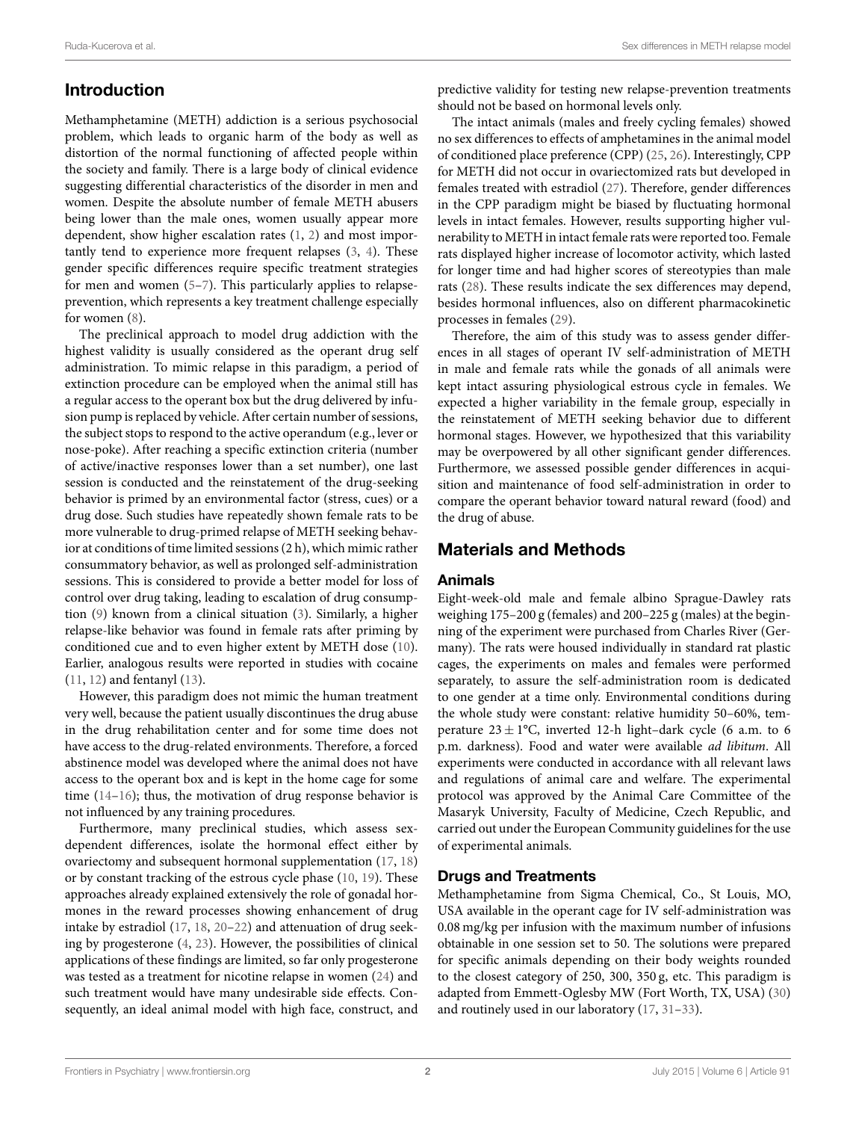# **Introduction**

Methamphetamine (METH) addiction is a serious psychosocial problem, which leads to organic harm of the body as well as distortion of the normal functioning of affected people within the society and family. There is a large body of clinical evidence suggesting differential characteristics of the disorder in men and women. Despite the absolute number of female METH abusers being lower than the male ones, women usually appear more dependent, show higher escalation rates [\(1,](#page-6-0) [2](#page-6-1)) and most importantly tend to experience more frequent relapses [\(3,](#page-6-2) [4](#page-6-3)). These gender specific differences require specific treatment strategies for men and women [\(5–](#page-6-4)[7](#page-6-5)). This particularly applies to relapseprevention, which represents a key treatment challenge especially for women([8](#page-6-6)).

The preclinical approach to model drug addiction with the highest validity is usually considered as the operant drug self administration. To mimic relapse in this paradigm, a period of extinction procedure can be employed when the animal still has a regular access to the operant box but the drug delivered by infusion pump is replaced by vehicle. After certain number of sessions, the subject stops to respond to the active operandum (e.g., lever or nose-poke). After reaching a specific extinction criteria (number of active/inactive responses lower than a set number), one last session is conducted and the reinstatement of the drug-seeking behavior is primed by an environmental factor (stress, cues) or a drug dose. Such studies have repeatedly shown female rats to be more vulnerable to drug-primed relapse of METH seeking behavior at conditions of time limited sessions (2 h), which mimic rather consummatory behavior, as well as prolonged self-administration sessions. This is considered to provide a better model for loss of control over drug taking, leading to escalation of drug consumption([9\)](#page-6-7) known from a clinical situation([3\)](#page-6-2). Similarly, a higher relapse-like behavior was found in female rats after priming by conditioned cue and to even higher extent by METH dose [\(10](#page-6-8)). Earlier, analogous results were reported in studies with cocaine [\(11](#page-6-9), [12\)](#page-6-10) and fentanyl([13\)](#page-6-11).

However, this paradigm does not mimic the human treatment very well, because the patient usually discontinues the drug abuse in the drug rehabilitation center and for some time does not have access to the drug-related environments. Therefore, a forced abstinence model was developed where the animal does not have access to the operant box and is kept in the home cage for some time([14–](#page-6-12)[16\)](#page-6-13); thus, the motivation of drug response behavior is not influenced by any training procedures.

Furthermore, many preclinical studies, which assess sexdependent differences, isolate the hormonal effect either by ovariectomy and subsequent hormonal supplementation([17,](#page-6-14) [18\)](#page-6-15) or by constant tracking of the estrous cycle phase([10,](#page-6-8) [19\)](#page-6-16). These approaches already explained extensively the role of gonadal hormones in the reward processes showing enhancement of drug intake by estradiol [\(17](#page-6-14), [18](#page-6-15), [20](#page-6-17)[–22](#page-6-18)) and attenuation of drug seeking by progesterone([4](#page-6-3), [23](#page-6-19)). However, the possibilities of clinical applications of these findings are limited, so far only progesterone was tested as a treatment for nicotine relapse in women([24\)](#page-6-20) and such treatment would have many undesirable side effects. Consequently, an ideal animal model with high face, construct, and predictive validity for testing new relapse-prevention treatments should not be based on hormonal levels only.

The intact animals (males and freely cycling females) showed no sex differences to effects of amphetamines in the animal model of conditioned place preference (CPP) [\(25](#page-6-21), [26](#page-6-22)). Interestingly, CPP for METH did not occur in ovariectomized rats but developed in females treated with estradiol [\(27](#page-6-23)). Therefore, gender differences in the CPP paradigm might be biased by fluctuating hormonal levels in intact females. However, results supporting higher vulnerability to METH in intact female rats were reported too. Female rats displayed higher increase of locomotor activity, which lasted for longer time and had higher scores of stereotypies than male rats [\(28\)](#page-6-24). These results indicate the sex differences may depend, besides hormonal influences, also on different pharmacokinetic processes in females [\(29](#page-6-25)).

Therefore, the aim of this study was to assess gender differences in all stages of operant IV self-administration of METH in male and female rats while the gonads of all animals were kept intact assuring physiological estrous cycle in females. We expected a higher variability in the female group, especially in the reinstatement of METH seeking behavior due to different hormonal stages. However, we hypothesized that this variability may be overpowered by all other significant gender differences. Furthermore, we assessed possible gender differences in acquisition and maintenance of food self-administration in order to compare the operant behavior toward natural reward (food) and the drug of abuse.

# <span id="page-1-0"></span>**Materials and Methods**

## **Animals**

Eight-week-old male and female albino Sprague-Dawley rats weighing 175–200 g (females) and 200–225 g (males) at the beginning of the experiment were purchased from Charles River (Germany). The rats were housed individually in standard rat plastic cages, the experiments on males and females were performed separately, to assure the self-administration room is dedicated to one gender at a time only. Environmental conditions during the whole study were constant: relative humidity 50–60%, temperature  $23 \pm 1$ °C, inverted 12-h light-dark cycle (6 a.m. to 6 p.m. darkness). Food and water were available *ad libitum*. All experiments were conducted in accordance with all relevant laws and regulations of animal care and welfare. The experimental protocol was approved by the Animal Care Committee of the Masaryk University, Faculty of Medicine, Czech Republic, and carried out under the European Community guidelines for the use of experimental animals.

## **Drugs and Treatments**

Methamphetamine from Sigma Chemical, Co., St Louis, MO, USA available in the operant cage for IV self-administration was 0.08 mg/kg per infusion with the maximum number of infusions obtainable in one session set to 50. The solutions were prepared for specific animals depending on their body weights rounded to the closest category of 250, 300, 350 g, etc. This paradigm is adapted from Emmett-Oglesby MW (Fort Worth, TX, USA)([30](#page-6-26)) and routinely used in our laboratory [\(17](#page-6-14), [31](#page-7-0)[–33\)](#page-7-1).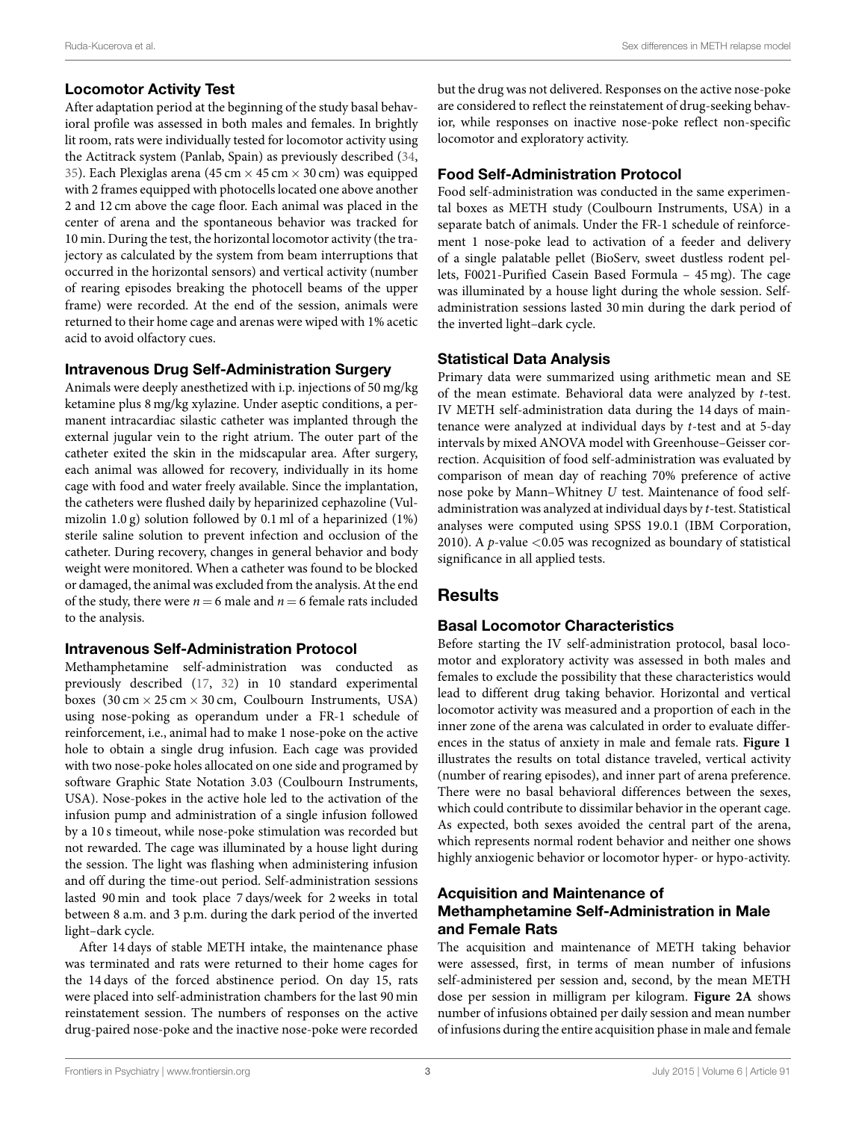## **Locomotor Activity Test**

After adaptation period at the beginning of the study basal behavioral profile was assessed in both males and females. In brightly lit room, rats were individually tested for locomotor activity using the Actitrack system (Panlab, Spain) as previously described([34,](#page-7-2) [35](#page-7-3)). Each Plexiglas arena (45 cm *×* 45 cm *×* 30 cm) was equipped with 2 frames equipped with photocells located one above another 2 and 12 cm above the cage floor. Each animal was placed in the center of arena and the spontaneous behavior was tracked for 10 min. During the test, the horizontal locomotor activity (the trajectory as calculated by the system from beam interruptions that occurred in the horizontal sensors) and vertical activity (number of rearing episodes breaking the photocell beams of the upper frame) were recorded. At the end of the session, animals were returned to their home cage and arenas were wiped with 1% acetic acid to avoid olfactory cues.

## **Intravenous Drug Self-Administration Surgery**

Animals were deeply anesthetized with i.p. injections of 50 mg/kg ketamine plus 8 mg/kg xylazine. Under aseptic conditions, a permanent intracardiac silastic catheter was implanted through the external jugular vein to the right atrium. The outer part of the catheter exited the skin in the midscapular area. After surgery, each animal was allowed for recovery, individually in its home cage with food and water freely available. Since the implantation, the catheters were flushed daily by heparinized cephazoline (Vulmizolin 1.0 g) solution followed by 0.1 ml of a heparinized (1%) sterile saline solution to prevent infection and occlusion of the catheter. During recovery, changes in general behavior and body weight were monitored. When a catheter was found to be blocked or damaged, the animal was excluded from the analysis. At the end of the study, there were  $n = 6$  male and  $n = 6$  female rats included to the analysis.

## **Intravenous Self-Administration Protocol**

Methamphetamine self-administration was conducted as previously described [\(17,](#page-6-14) [32](#page-7-4)) in 10 standard experimental boxes (30 cm *×* 25 cm *×* 30 cm, Coulbourn Instruments, USA) using nose-poking as operandum under a FR-1 schedule of reinforcement, i.e., animal had to make 1 nose-poke on the active hole to obtain a single drug infusion. Each cage was provided with two nose-poke holes allocated on one side and programed by software Graphic State Notation 3.03 (Coulbourn Instruments, USA). Nose-pokes in the active hole led to the activation of the infusion pump and administration of a single infusion followed by a 10 s timeout, while nose-poke stimulation was recorded but not rewarded. The cage was illuminated by a house light during the session. The light was flashing when administering infusion and off during the time-out period. Self-administration sessions lasted 90 min and took place 7 days/week for 2 weeks in total between 8 a.m. and 3 p.m. during the dark period of the inverted light–dark cycle.

After 14 days of stable METH intake, the maintenance phase was terminated and rats were returned to their home cages for the 14 days of the forced abstinence period. On day 15, rats were placed into self-administration chambers for the last 90 min reinstatement session. The numbers of responses on the active drug-paired nose-poke and the inactive nose-poke were recorded but the drug was not delivered. Responses on the active nose-poke are considered to reflect the reinstatement of drug-seeking behavior, while responses on inactive nose-poke reflect non-specific locomotor and exploratory activity.

## **Food Self-Administration Protocol**

Food self-administration was conducted in the same experimental boxes as METH study (Coulbourn Instruments, USA) in a separate batch of animals. Under the FR-1 schedule of reinforcement 1 nose-poke lead to activation of a feeder and delivery of a single palatable pellet (BioServ, sweet dustless rodent pellets, F0021-Purified Casein Based Formula – 45 mg). The cage was illuminated by a house light during the whole session. Selfadministration sessions lasted 30 min during the dark period of the inverted light–dark cycle.

## **Statistical Data Analysis**

Primary data were summarized using arithmetic mean and SE of the mean estimate. Behavioral data were analyzed by *t*-test. IV METH self-administration data during the 14 days of maintenance were analyzed at individual days by *t*-test and at 5-day intervals by mixed ANOVA model with Greenhouse–Geisser correction. Acquisition of food self-administration was evaluated by comparison of mean day of reaching 70% preference of active nose poke by Mann–Whitney *U* test. Maintenance of food selfadministration was analyzed at individual days by *t*-test. Statistical analyses were computed using SPSS 19.0.1 (IBM Corporation, 2010). A *p*-value *<*0.05 was recognized as boundary of statistical significance in all applied tests.

# **Results**

## **Basal Locomotor Characteristics**

Before starting the IV self-administration protocol, basal locomotor and exploratory activity was assessed in both males and females to exclude the possibility that these characteristics would lead to different drug taking behavior. Horizontal and vertical locomotor activity was measured and a proportion of each in the inner zone of the arena was calculated in order to evaluate differences in the status of anxiety in male and female rats. **[Figure 1](#page-3-0)** illustrates the results on total distance traveled, vertical activity (number of rearing episodes), and inner part of arena preference. There were no basal behavioral differences between the sexes, which could contribute to dissimilar behavior in the operant cage. As expected, both sexes avoided the central part of the arena, which represents normal rodent behavior and neither one shows highly anxiogenic behavior or locomotor hyper- or hypo-activity.

## **Acquisition and Maintenance of Methamphetamine Self-Administration in Male and Female Rats**

The acquisition and maintenance of METH taking behavior were assessed, first, in terms of mean number of infusions self-administered per session and, second, by the mean METH dose per session in milligram per kilogram. **[Figure 2A](#page-4-0)** shows number of infusions obtained per daily session and mean number of infusions during the entire acquisition phase in male and female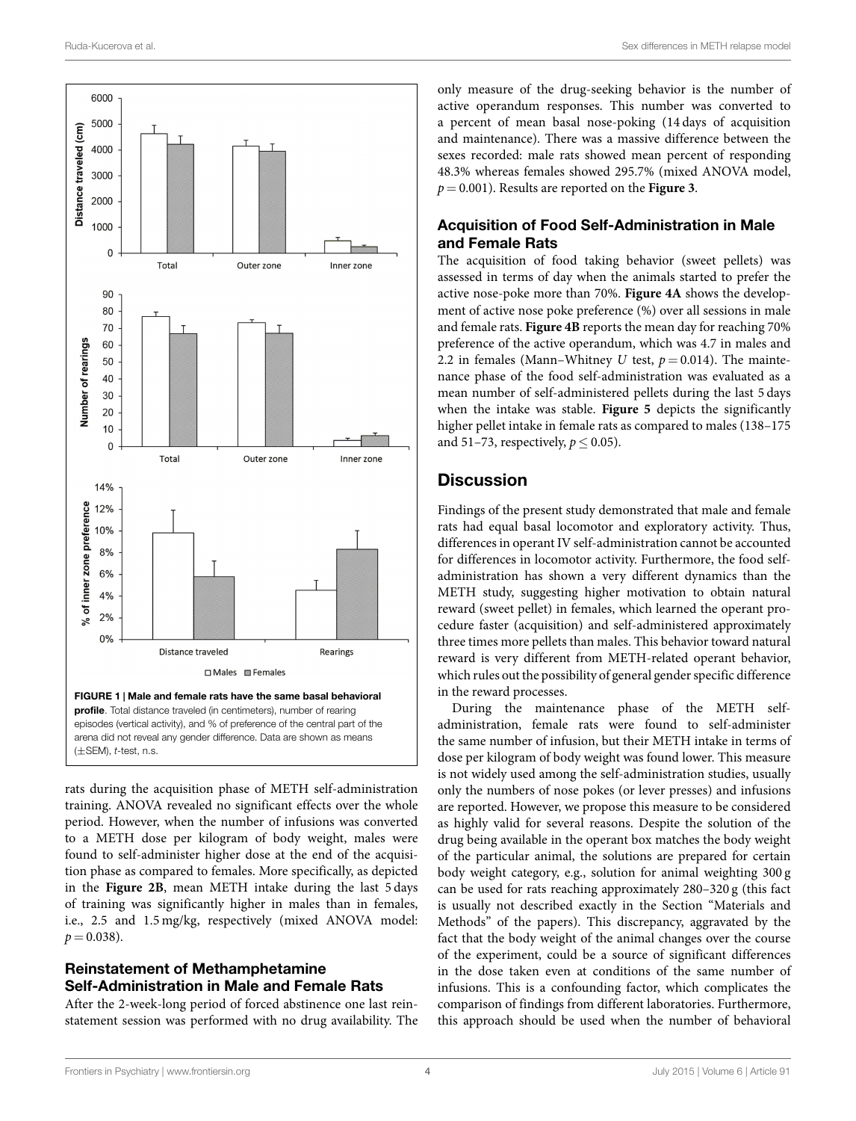

<span id="page-3-0"></span>rats during the acquisition phase of METH self-administration training. ANOVA revealed no significant effects over the whole period. However, when the number of infusions was converted to a METH dose per kilogram of body weight, males were found to self-administer higher dose at the end of the acquisition phase as compared to females. More specifically, as depicted in the **[Figure 2B](#page-4-0)**, mean METH intake during the last 5 days of training was significantly higher in males than in females, i.e., 2.5 and 1.5 mg/kg, respectively (mixed ANOVA model:  $p = 0.038$ .

## **Reinstatement of Methamphetamine Self-Administration in Male and Female Rats**

After the 2-week-long period of forced abstinence one last reinstatement session was performed with no drug availability. The only measure of the drug-seeking behavior is the number of active operandum responses. This number was converted to a percent of mean basal nose-poking (14 days of acquisition and maintenance). There was a massive difference between the sexes recorded: male rats showed mean percent of responding 48.3% whereas females showed 295.7% (mixed ANOVA model, *p* = 0.001). Results are reported on the **[Figure 3](#page-4-1)**.

## **Acquisition of Food Self-Administration in Male and Female Rats**

The acquisition of food taking behavior (sweet pellets) was assessed in terms of day when the animals started to prefer the active nose-poke more than 70%. **[Figure 4A](#page-5-0)** shows the development of active nose poke preference (%) over all sessions in male and female rats. **[Figure 4B](#page-5-0)** reports the mean day for reaching 70% preference of the active operandum, which was 4.7 in males and 2.2 in females (Mann–Whitney *U* test,  $p = 0.014$ ). The maintenance phase of the food self-administration was evaluated as a mean number of self-administered pellets during the last 5 days when the intake was stable. **[Figure 5](#page-5-1)** depicts the significantly higher pellet intake in female rats as compared to males (138–175) and 51–73, respectively,  $p \leq 0.05$ ).

## **Discussion**

Findings of the present study demonstrated that male and female rats had equal basal locomotor and exploratory activity. Thus, differences in operant IV self-administration cannot be accounted for differences in locomotor activity. Furthermore, the food selfadministration has shown a very different dynamics than the METH study, suggesting higher motivation to obtain natural reward (sweet pellet) in females, which learned the operant procedure faster (acquisition) and self-administered approximately three times more pellets than males. This behavior toward natural reward is very different from METH-related operant behavior, which rules out the possibility of general gender specific difference in the reward processes.

During the maintenance phase of the METH selfadministration, female rats were found to self-administer the same number of infusion, but their METH intake in terms of dose per kilogram of body weight was found lower. This measure is not widely used among the self-administration studies, usually only the numbers of nose pokes (or lever presses) and infusions are reported. However, we propose this measure to be considered as highly valid for several reasons. Despite the solution of the drug being available in the operant box matches the body weight of the particular animal, the solutions are prepared for certain body weight category, e.g., solution for animal weighting 300 g can be used for rats reaching approximately 280–320 g (this fact is usually not described exactly in the Section"[Materials and](#page-1-0) [Methods](#page-1-0)" of the papers). This discrepancy, aggravated by the fact that the body weight of the animal changes over the course of the experiment, could be a source of significant differences in the dose taken even at conditions of the same number of infusions. This is a confounding factor, which complicates the comparison of findings from different laboratories. Furthermore, this approach should be used when the number of behavioral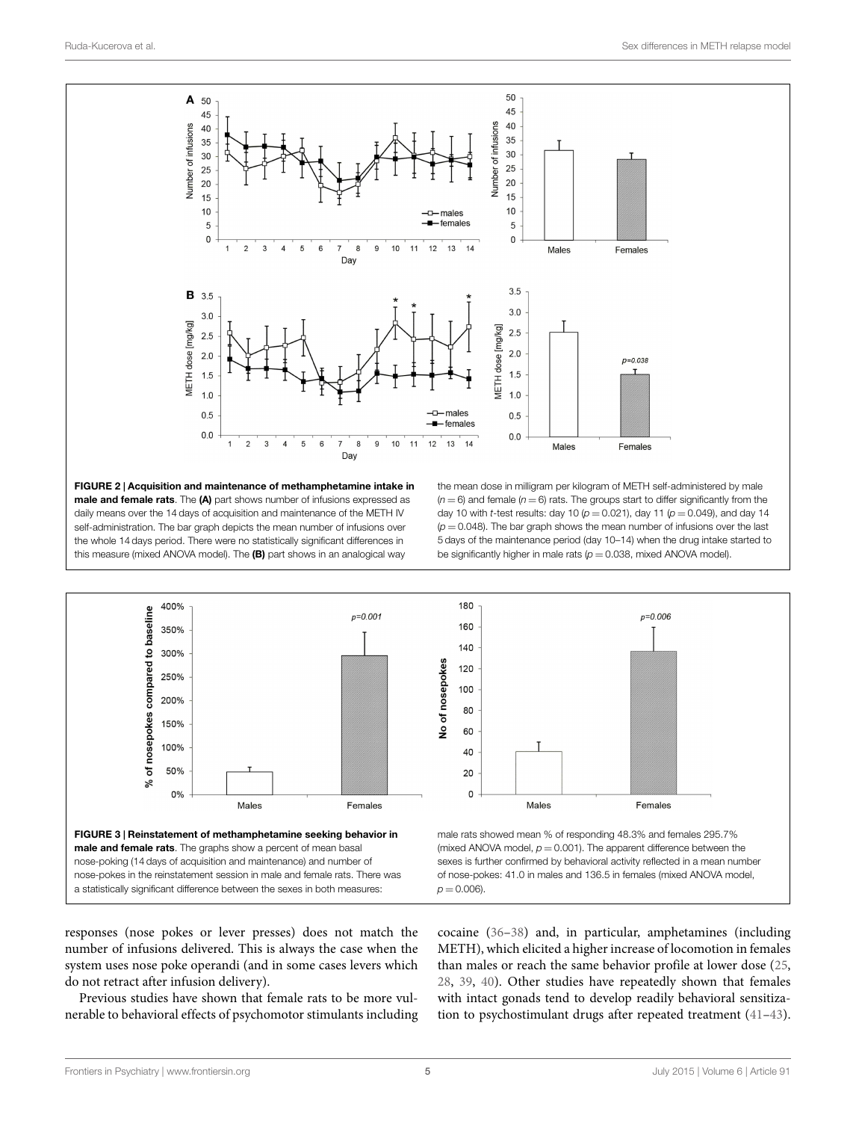

<span id="page-4-0"></span>**FIGURE 2 | Acquisition and maintenance of methamphetamine intake in male and female rats**. The **(A)** part shows number of infusions expressed as daily means over the 14 days of acquisition and maintenance of the METH IV self-administration. The bar graph depicts the mean number of infusions over the whole 14 days period. There were no statistically significant differences in this measure (mixed ANOVA model). The **(B)** part shows in an analogical way

the mean dose in milligram per kilogram of METH self-administered by male  $(n = 6)$  and female  $(n = 6)$  rats. The groups start to differ significantly from the day 10 with *t*-test results: day 10 (*p* = 0.021), day 11 (*p* = 0.049), and day 14  $(p = 0.048)$ . The bar graph shows the mean number of infusions over the last 5 days of the maintenance period (day 10–14) when the drug intake started to be significantly higher in male rats  $(p = 0.038, mixed ANOVA model)$ .

 $p=0.006$ 

Females



<span id="page-4-1"></span>responses (nose pokes or lever presses) does not match the number of infusions delivered. This is always the case when the system uses nose poke operandi (and in some cases levers which do not retract after infusion delivery).

Previous studies have shown that female rats to be more vulnerable to behavioral effects of psychomotor stimulants including cocaine [\(36–](#page-7-5)[38\)](#page-7-6) and, in particular, amphetamines (including METH), which elicited a higher increase of locomotion in females than males or reach the same behavior profile at lower dose [\(25](#page-6-21), [28,](#page-6-24) [39,](#page-7-7) [40\)](#page-7-8). Other studies have repeatedly shown that females with intact gonads tend to develop readily behavioral sensitization to psychostimulant drugs after repeated treatment([41–](#page-7-9)[43\)](#page-7-10).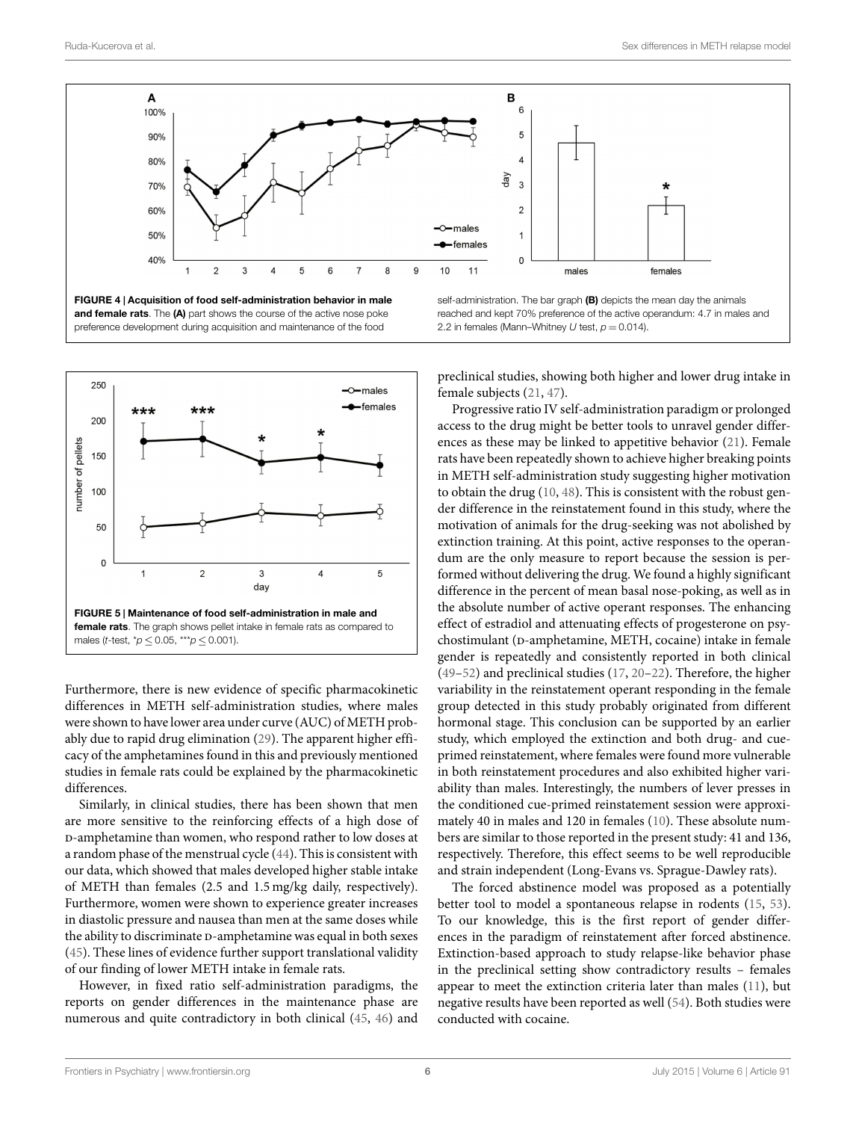

<span id="page-5-0"></span>



<span id="page-5-1"></span>Furthermore, there is new evidence of specific pharmacokinetic differences in METH self-administration studies, where males were shown to have lower area under curve (AUC) of METH probably due to rapid drug elimination([29\)](#page-6-25). The apparent higher efficacy of the amphetamines found in this and previously mentioned studies in female rats could be explained by the pharmacokinetic differences.

Similarly, in clinical studies, there has been shown that men are more sensitive to the reinforcing effects of a high dose of -amphetamine than women, who respond rather to low doses at a random phase of the menstrual cycle [\(44](#page-7-11)). This is consistent with our data, which showed that males developed higher stable intake of METH than females (2.5 and 1.5 mg/kg daily, respectively). Furthermore, women were shown to experience greater increases in diastolic pressure and nausea than men at the same doses while the ability to discriminate D-amphetamine was equal in both sexes [\(45](#page-7-12)). These lines of evidence further support translational validity of our finding of lower METH intake in female rats.

However, in fixed ratio self-administration paradigms, the reports on gender differences in the maintenance phase are numerous and quite contradictory in both clinical([45,](#page-7-12) [46](#page-7-13)) and self-administration. The bar graph **(B)** depicts the mean day the animals reached and kept 70% preference of the active operandum: 4.7 in males and 2.2 in females (Mann–Whitney  $U$  test,  $p = 0.014$ ).

preclinical studies, showing both higher and lower drug intake in female subjects [\(21](#page-6-27), [47\)](#page-7-14).

Progressive ratio IV self-administration paradigm or prolonged access to the drug might be better tools to unravel gender differences as these may be linked to appetitive behavior([21](#page-6-27)). Female rats have been repeatedly shown to achieve higher breaking points in METH self-administration study suggesting higher motivation to obtain the drug([10,](#page-6-8) [48](#page-7-15)). This is consistent with the robust gender difference in the reinstatement found in this study, where the motivation of animals for the drug-seeking was not abolished by extinction training. At this point, active responses to the operandum are the only measure to report because the session is performed without delivering the drug. We found a highly significant difference in the percent of mean basal nose-poking, as well as in the absolute number of active operant responses. The enhancing effect of estradiol and attenuating effects of progesterone on psychostimulant (D-amphetamine, METH, cocaine) intake in female gender is repeatedly and consistently reported in both clinical ([49–](#page-7-16)[52\)](#page-7-17) and preclinical studies [\(17](#page-6-14), [20](#page-6-17)[–22\)](#page-6-18). Therefore, the higher variability in the reinstatement operant responding in the female group detected in this study probably originated from different hormonal stage. This conclusion can be supported by an earlier study, which employed the extinction and both drug- and cueprimed reinstatement, where females were found more vulnerable in both reinstatement procedures and also exhibited higher variability than males. Interestingly, the numbers of lever presses in the conditioned cue-primed reinstatement session were approximately 40 in males and 120 in females [\(10](#page-6-8)). These absolute numbers are similar to those reported in the present study: 41 and 136, respectively. Therefore, this effect seems to be well reproducible and strain independent (Long-Evans vs. Sprague-Dawley rats).

The forced abstinence model was proposed as a potentially better tool to model a spontaneous relapse in rodents [\(15](#page-6-28), [53\)](#page-7-18). To our knowledge, this is the first report of gender differences in the paradigm of reinstatement after forced abstinence. Extinction-based approach to study relapse-like behavior phase in the preclinical setting show contradictory results – females appear to meet the extinction criteria later than males [\(11](#page-6-9)), but negative results have been reported as well([54\)](#page-7-19). Both studies were conducted with cocaine.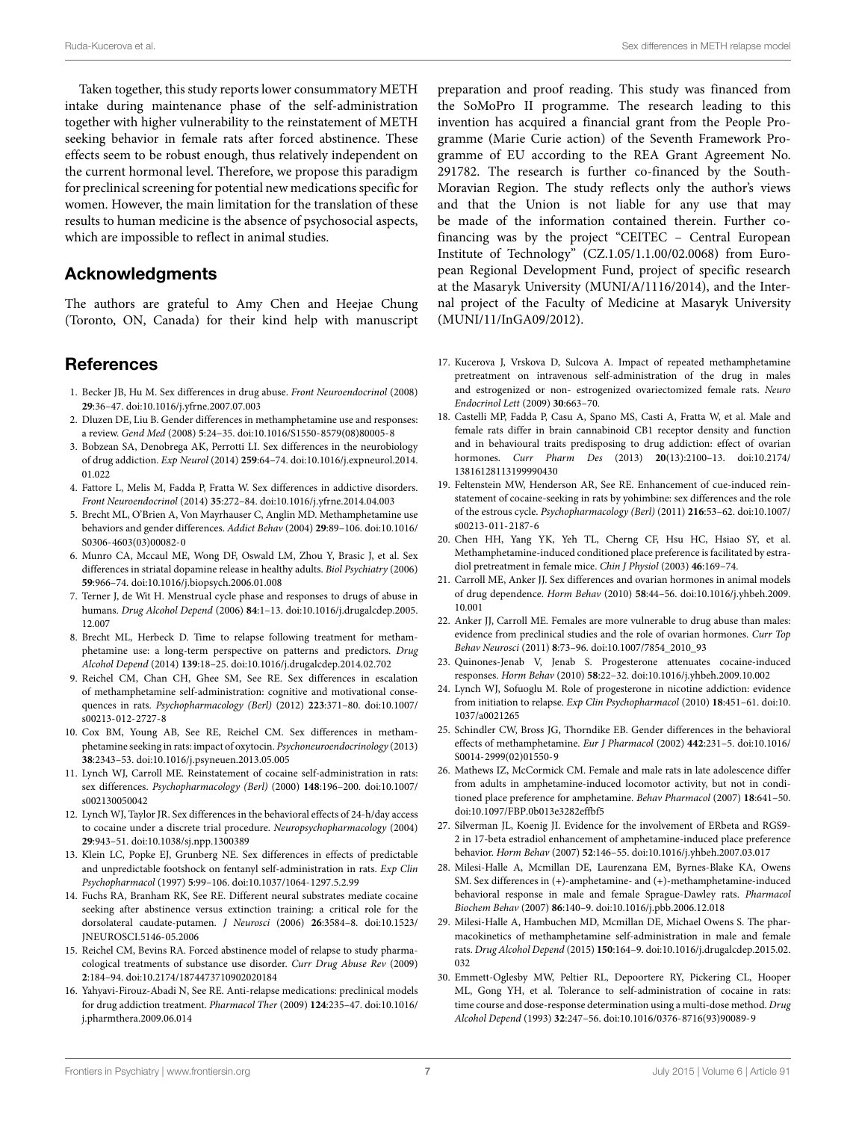Ruda-Kucerova et al. Sex differences in METH relapse model

Taken together, this study reports lower consummatory METH intake during maintenance phase of the self-administration together with higher vulnerability to the reinstatement of METH seeking behavior in female rats after forced abstinence. These effects seem to be robust enough, thus relatively independent on the current hormonal level. Therefore, we propose this paradigm for preclinical screening for potential new medications specific for women. However, the main limitation for the translation of these results to human medicine is the absence of psychosocial aspects, which are impossible to reflect in animal studies.

# **Acknowledgments**

The authors are grateful to Amy Chen and Heejae Chung (Toronto, ON, Canada) for their kind help with manuscript

## **References**

- <span id="page-6-0"></span>1. Becker JB, Hu M. Sex differences in drug abuse. *Front Neuroendocrinol* (2008) **29**:36–47. doi[:10.1016/j.yfrne.2007.07.003](http://dx.doi.org/10.1016/j.yfrne.2007.07.003)
- <span id="page-6-1"></span>2. Dluzen DE, Liu B. Gender differences in methamphetamine use and responses: a review. *Gend Med* (2008) **5**:24–35. doi:[10.1016/S1550-8579\(08\)80005-8](http://dx.doi.org/10.1016/S1550-8579(08)80005-8)
- <span id="page-6-2"></span>3. Bobzean SA, Denobrega AK, Perrotti LI. Sex differences in the neurobiology of drug addiction. *Exp Neurol* (2014) **259**:64–74. doi:[10.1016/j.expneurol.2014.](http://dx.doi.org/10.1016/j.expneurol.2014.01.022) [01.022](http://dx.doi.org/10.1016/j.expneurol.2014.01.022)
- <span id="page-6-3"></span>4. Fattore L, Melis M, Fadda P, Fratta W. Sex differences in addictive disorders. *Front Neuroendocrinol* (2014) **35**:272–84. doi[:10.1016/j.yfrne.2014.04.003](http://dx.doi.org/10.1016/j.yfrne.2014.04.003)
- <span id="page-6-4"></span>5. Brecht ML, O'Brien A, Von Mayrhauser C, Anglin MD. Methamphetamine use behaviors and gender differences. *Addict Behav* (2004) **29**:89–106. doi[:10.1016/](http://dx.doi.org/10.1016/S0306-4603(03)00082-0) [S0306-4603\(03\)00082-0](http://dx.doi.org/10.1016/S0306-4603(03)00082-0)
- 6. Munro CA, Mccaul ME, Wong DF, Oswald LM, Zhou Y, Brasic J, et al. Sex differences in striatal dopamine release in healthy adults. *Biol Psychiatry* (2006) **59**:966–74. doi:[10.1016/j.biopsych.2006.01.008](http://dx.doi.org/10.1016/j.biopsych.2006.01.008)
- <span id="page-6-5"></span>7. Terner J, de Wit H. Menstrual cycle phase and responses to drugs of abuse in humans. *Drug Alcohol Depend* (2006) **84**:1–13. doi[:10.1016/j.drugalcdep.2005.](http://dx.doi.org/10.1016/j.drugalcdep.2005.12.007) [12.007](http://dx.doi.org/10.1016/j.drugalcdep.2005.12.007)
- <span id="page-6-6"></span>8. Brecht ML, Herbeck D. Time to relapse following treatment for methamphetamine use: a long-term perspective on patterns and predictors. *Drug Alcohol Depend* (2014) **139**:18–25. doi[:10.1016/j.drugalcdep.2014.02.702](http://dx.doi.org/10.1016/j.drugalcdep.2014.02.702)
- <span id="page-6-7"></span>9. Reichel CM, Chan CH, Ghee SM, See RE. Sex differences in escalation of methamphetamine self-administration: cognitive and motivational consequences in rats. *Psychopharmacology (Berl)* (2012) **223**:371–80. doi[:10.1007/](http://dx.doi.org/10.1007/s00213-012-2727-8) [s00213-012-2727-8](http://dx.doi.org/10.1007/s00213-012-2727-8)
- <span id="page-6-8"></span>10. Cox BM, Young AB, See RE, Reichel CM. Sex differences in methamphetamine seeking in rats: impact of oxytocin. *Psychoneuroendocrinology* (2013) **38**:2343–53. doi[:10.1016/j.psyneuen.2013.05.005](http://dx.doi.org/10.1016/j.psyneuen.2013.05.005)
- <span id="page-6-9"></span>11. Lynch WJ, Carroll ME. Reinstatement of cocaine self-administration in rats: sex differences. *Psychopharmacology (Berl)* (2000) **148**:196–200. doi[:10.1007/](http://dx.doi.org/10.1007/s002130050042) [s002130050042](http://dx.doi.org/10.1007/s002130050042)
- <span id="page-6-10"></span>12. Lynch WJ, Taylor JR. Sex differences in the behavioral effects of 24-h/day access to cocaine under a discrete trial procedure. *Neuropsychopharmacology* (2004) **29**:943–51. doi:[10.1038/sj.npp.1300389](http://dx.doi.org/10.1038/sj.npp.1300389)
- <span id="page-6-11"></span>13. Klein LC, Popke EJ, Grunberg NE. Sex differences in effects of predictable and unpredictable footshock on fentanyl self-administration in rats. *Exp Clin Psychopharmacol* (1997) **5**:99–106. doi:[10.1037/1064-1297.5.2.99](http://dx.doi.org/10.1037/1064-1297.5.2.99)
- <span id="page-6-12"></span>14. Fuchs RA, Branham RK, See RE. Different neural substrates mediate cocaine seeking after abstinence versus extinction training: a critical role for the dorsolateral caudate-putamen. *J Neurosci* (2006) **26**:3584–8. doi[:10.1523/](http://dx.doi.org/10.1523/JNEUROSCI.5146-05.2006) [JNEUROSCI.5146-05.2006](http://dx.doi.org/10.1523/JNEUROSCI.5146-05.2006)
- <span id="page-6-28"></span>15. Reichel CM, Bevins RA. Forced abstinence model of relapse to study pharmacological treatments of substance use disorder. *Curr Drug Abuse Rev* (2009) **2**:184–94. doi[:10.2174/1874473710902020184](http://dx.doi.org/10.2174/1874473710902020184)
- <span id="page-6-13"></span>16. Yahyavi-Firouz-Abadi N, See RE. Anti-relapse medications: preclinical models for drug addiction treatment. *Pharmacol Ther* (2009) **124**:235–47. doi[:10.1016/](http://dx.doi.org/10.1016/j.pharmthera.2009.06.014) [j.pharmthera.2009.06.014](http://dx.doi.org/10.1016/j.pharmthera.2009.06.014)

preparation and proof reading. This study was financed from the SoMoPro II programme. The research leading to this invention has acquired a financial grant from the People Programme (Marie Curie action) of the Seventh Framework Programme of EU according to the REA Grant Agreement No. 291782. The research is further co-financed by the South-Moravian Region. The study reflects only the author's views and that the Union is not liable for any use that may be made of the information contained therein. Further cofinancing was by the project "CEITEC – Central European Institute of Technology" (CZ.1.05/1.1.00/02.0068) from European Regional Development Fund, project of specific research at the Masaryk University (MUNI/A/1116/2014), and the Internal project of the Faculty of Medicine at Masaryk University (MUNI/11/InGA09/2012).

- <span id="page-6-14"></span>17. Kucerova J, Vrskova D, Sulcova A. Impact of repeated methamphetamine pretreatment on intravenous self-administration of the drug in males and estrogenized or non- estrogenized ovariectomized female rats. *Neuro Endocrinol Lett* (2009) **30**:663–70.
- <span id="page-6-15"></span>18. Castelli MP, Fadda P, Casu A, Spano MS, Casti A, Fratta W, et al. Male and female rats differ in brain cannabinoid CB1 receptor density and function and in behavioural traits predisposing to drug addiction: effect of ovarian hormones. *Curr Pharm Des* (2013) **20**(13):2100–13. doi:[10.2174/](http://dx.doi.org/10.2174/13816128113199990430) [13816128113199990430](http://dx.doi.org/10.2174/13816128113199990430)
- <span id="page-6-16"></span>19. Feltenstein MW, Henderson AR, See RE. Enhancement of cue-induced reinstatement of cocaine-seeking in rats by yohimbine: sex differences and the role of the estrous cycle. *Psychopharmacology (Berl)* (2011) **216**:53–62. doi:[10.1007/](http://dx.doi.org/10.1007/s00213-011-2187-6) [s00213-011-2187-6](http://dx.doi.org/10.1007/s00213-011-2187-6)
- <span id="page-6-17"></span>20. Chen HH, Yang YK, Yeh TL, Cherng CF, Hsu HC, Hsiao SY, et al. Methamphetamine-induced conditioned place preference is facilitated by estradiol pretreatment in female mice. *Chin J Physiol* (2003) **46**:169–74.
- <span id="page-6-27"></span>21. Carroll ME, Anker JJ. Sex differences and ovarian hormones in animal models of drug dependence. *Horm Behav* (2010) **58**:44–56. doi:[10.1016/j.yhbeh.2009.](http://dx.doi.org/10.1016/j.yhbeh.2009.10.001) [10.001](http://dx.doi.org/10.1016/j.yhbeh.2009.10.001)
- <span id="page-6-18"></span>22. Anker JJ, Carroll ME. Females are more vulnerable to drug abuse than males: evidence from preclinical studies and the role of ovarian hormones. *Curr Top Behav Neurosci* (2011) **8**:73–96. doi:[10.1007/7854\\_2010\\_93](http://dx.doi.org/10.1007/7854_2010_93)
- <span id="page-6-19"></span>23. Quinones-Jenab V, Jenab S. Progesterone attenuates cocaine-induced responses. *Horm Behav* (2010) **58**:22–32. doi:[10.1016/j.yhbeh.2009.10.002](http://dx.doi.org/10.1016/j.yhbeh.2009.10.002)
- <span id="page-6-20"></span>24. Lynch WJ, Sofuoglu M. Role of progesterone in nicotine addiction: evidence from initiation to relapse. *Exp Clin Psychopharmacol* (2010) **18**:451–61. doi[:10.](http://dx.doi.org/10.1037/a0021265) [1037/a0021265](http://dx.doi.org/10.1037/a0021265)
- <span id="page-6-21"></span>25. Schindler CW, Bross JG, Thorndike EB. Gender differences in the behavioral effects of methamphetamine. *Eur J Pharmacol* (2002) **442**:231–5. doi:[10.1016/](http://dx.doi.org/10.1016/S0014-2999(02)01550-9) [S0014-2999\(02\)01550-9](http://dx.doi.org/10.1016/S0014-2999(02)01550-9)
- <span id="page-6-22"></span>26. Mathews IZ, McCormick CM. Female and male rats in late adolescence differ from adults in amphetamine-induced locomotor activity, but not in conditioned place preference for amphetamine. *Behav Pharmacol* (2007) **18**:641–50. doi:[10.1097/FBP.0b013e3282effbf5](http://dx.doi.org/10.1097/FBP.0b013e3282effbf5)
- <span id="page-6-23"></span>27. Silverman JL, Koenig JI. Evidence for the involvement of ERbeta and RGS9- 2 in 17-beta estradiol enhancement of amphetamine-induced place preference behavior. *Horm Behav* (2007) **52**:146–55. doi[:10.1016/j.yhbeh.2007.03.017](http://dx.doi.org/10.1016/j.yhbeh.2007.03.017)
- <span id="page-6-24"></span>28. Milesi-Halle A, Mcmillan DE, Laurenzana EM, Byrnes-Blake KA, Owens SM. Sex differences in (+)-amphetamine- and (+)-methamphetamine-induced behavioral response in male and female Sprague-Dawley rats. *Pharmacol Biochem Behav* (2007) **86**:140–9. doi[:10.1016/j.pbb.2006.12.018](http://dx.doi.org/10.1016/j.pbb.2006.12.018)
- <span id="page-6-25"></span>29. Milesi-Halle A, Hambuchen MD, Mcmillan DE, Michael Owens S. The pharmacokinetics of methamphetamine self-administration in male and female rats. *Drug Alcohol Depend* (2015) **150**:164–9. doi:[10.1016/j.drugalcdep.2015.02.](http://dx.doi.org/10.1016/j.drugalcdep.2015.02.032) [032](http://dx.doi.org/10.1016/j.drugalcdep.2015.02.032)
- <span id="page-6-26"></span>30. Emmett-Oglesby MW, Peltier RL, Depoortere RY, Pickering CL, Hooper ML, Gong YH, et al. Tolerance to self-administration of cocaine in rats: time course and dose-response determination using a multi-dose method. *Drug Alcohol Depend* (1993) **32**:247–56. doi[:10.1016/0376-8716\(93\)90089-9](http://dx.doi.org/10.1016/0376-8716(93)90089-9)